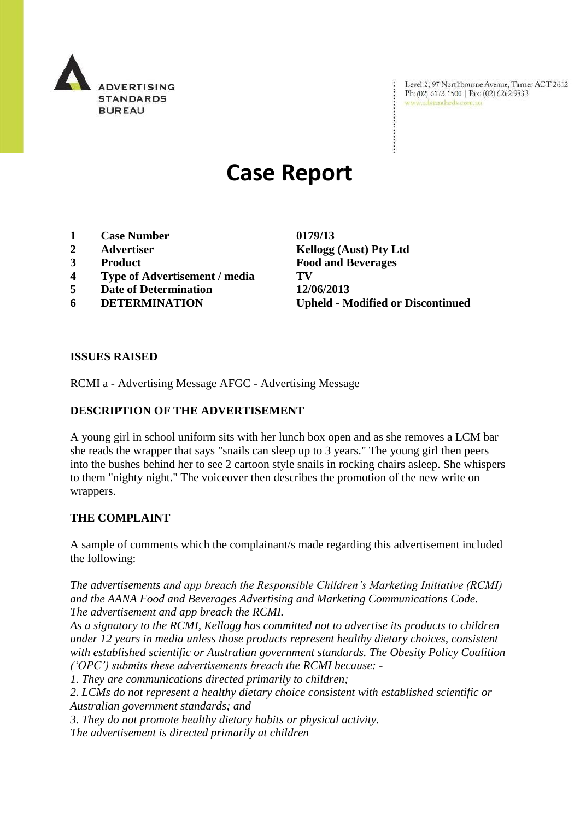

Level 2, 97 Northbourne Avenue, Turner ACT 2612 Ph: (02) 6173 1500 | Fax: (02) 6262 9833 www.adstandards.com.au

# **Case Report**

- **1 Case Number 0179/13**
- 
- 
- **4 Type of Advertisement / media TV**
- **5 Date of Determination 12/06/2013**
- 

**2 Advertiser Kellogg (Aust) Pty Ltd 3 Product Food and Beverages 6 DETERMINATION Upheld - Modified or Discontinued**

## **ISSUES RAISED**

RCMI a - Advertising Message AFGC - Advertising Message

# **DESCRIPTION OF THE ADVERTISEMENT**

A young girl in school uniform sits with her lunch box open and as she removes a LCM bar she reads the wrapper that says "snails can sleep up to 3 years." The young girl then peers into the bushes behind her to see 2 cartoon style snails in rocking chairs asleep. She whispers to them "nighty night." The voiceover then describes the promotion of the new write on wrappers.

## **THE COMPLAINT**

A sample of comments which the complainant/s made regarding this advertisement included the following:

*The advertisements and app breach the Responsible Children"s Marketing Initiative (RCMI) and the AANA Food and Beverages Advertising and Marketing Communications Code. The advertisement and app breach the RCMI.*

*As a signatory to the RCMI, Kellogg has committed not to advertise its products to children under 12 years in media unless those products represent healthy dietary choices, consistent with established scientific or Australian government standards. The Obesity Policy Coalition ("OPC") submits these advertisements breach the RCMI because: -*

*1. They are communications directed primarily to children;*

*2. LCMs do not represent a healthy dietary choice consistent with established scientific or Australian government standards; and*

*3. They do not promote healthy dietary habits or physical activity.*

*The advertisement is directed primarily at children*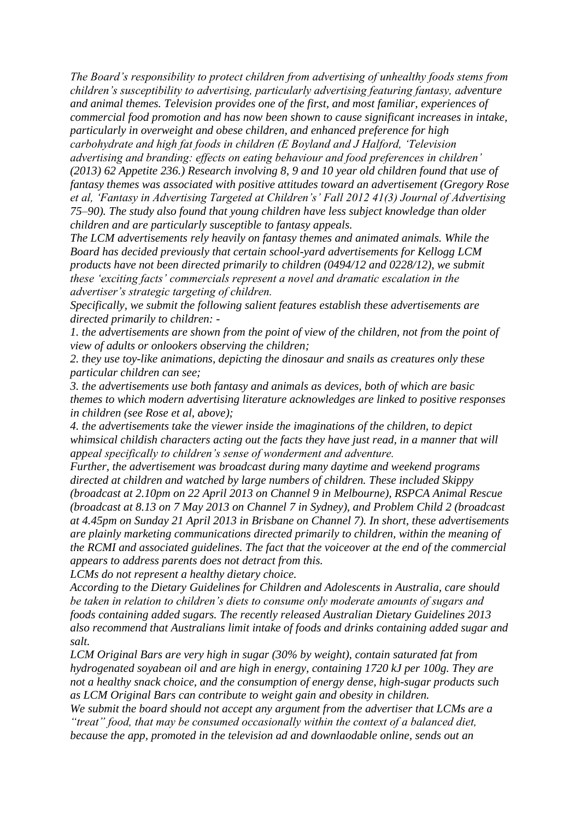*The Board"s responsibility to protect children from advertising of unhealthy foods stems from children"s susceptibility to advertising, particularly advertising featuring fantasy, adventure and animal themes. Television provides one of the first, and most familiar, experiences of commercial food promotion and has now been shown to cause significant increases in intake, particularly in overweight and obese children, and enhanced preference for high carbohydrate and high fat foods in children (E Boyland and J Halford, "Television advertising and branding: effects on eating behaviour and food preferences in children" (2013) 62 Appetite 236.) Research involving 8, 9 and 10 year old children found that use of fantasy themes was associated with positive attitudes toward an advertisement (Gregory Rose et al, "Fantasy in Advertising Targeted at Children"s" Fall 2012 41(3) Journal of Advertising 75–90). The study also found that young children have less subject knowledge than older children and are particularly susceptible to fantasy appeals.*

*The LCM advertisements rely heavily on fantasy themes and animated animals. While the Board has decided previously that certain school-yard advertisements for Kellogg LCM products have not been directed primarily to children (0494/12 and 0228/12), we submit these "exciting facts" commercials represent a novel and dramatic escalation in the advertiser"s strategic targeting of children.*

*Specifically, we submit the following salient features establish these advertisements are directed primarily to children: -*

*1. the advertisements are shown from the point of view of the children, not from the point of view of adults or onlookers observing the children;*

*2. they use toy-like animations, depicting the dinosaur and snails as creatures only these particular children can see;*

*3. the advertisements use both fantasy and animals as devices, both of which are basic themes to which modern advertising literature acknowledges are linked to positive responses in children (see Rose et al, above);*

*4. the advertisements take the viewer inside the imaginations of the children, to depict whimsical childish characters acting out the facts they have just read, in a manner that will appeal specifically to children"s sense of wonderment and adventure.*

*Further, the advertisement was broadcast during many daytime and weekend programs directed at children and watched by large numbers of children. These included Skippy (broadcast at 2.10pm on 22 April 2013 on Channel 9 in Melbourne), RSPCA Animal Rescue (broadcast at 8.13 on 7 May 2013 on Channel 7 in Sydney), and Problem Child 2 (broadcast at 4.45pm on Sunday 21 April 2013 in Brisbane on Channel 7). In short, these advertisements are plainly marketing communications directed primarily to children, within the meaning of the RCMI and associated guidelines. The fact that the voiceover at the end of the commercial appears to address parents does not detract from this.*

*LCMs do not represent a healthy dietary choice.*

*According to the Dietary Guidelines for Children and Adolescents in Australia, care should be taken in relation to children"s diets to consume only moderate amounts of sugars and foods containing added sugars. The recently released Australian Dietary Guidelines 2013 also recommend that Australians limit intake of foods and drinks containing added sugar and salt.*

*LCM Original Bars are very high in sugar (30% by weight), contain saturated fat from hydrogenated soyabean oil and are high in energy, containing 1720 kJ per 100g. They are not a healthy snack choice, and the consumption of energy dense, high-sugar products such as LCM Original Bars can contribute to weight gain and obesity in children.*

*We submit the board should not accept any argument from the advertiser that LCMs are a "treat" food, that may be consumed occasionally within the context of a balanced diet, because the app, promoted in the television ad and downlaodable online, sends out an*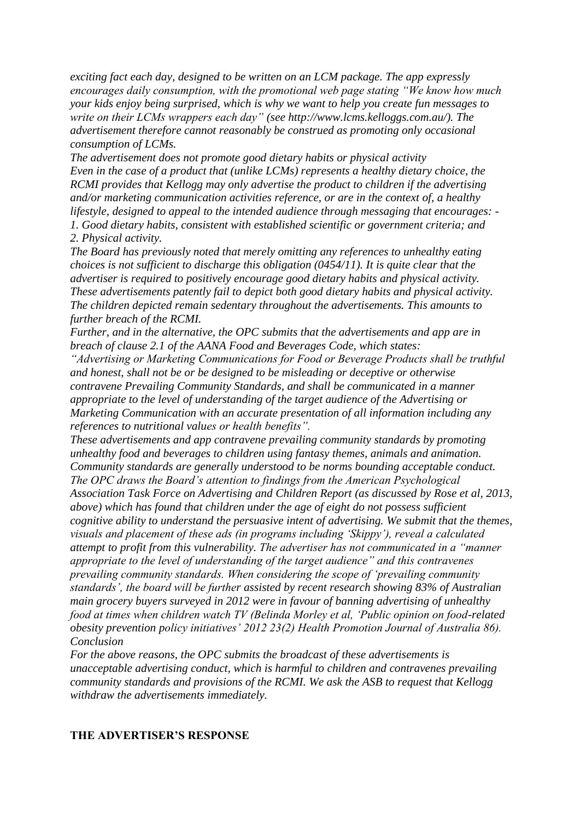*exciting fact each day, designed to be written on an LCM package. The app expressly encourages daily consumption, with the promotional web page stating "We know how much your kids enjoy being surprised, which is why we want to help you create fun messages to write on their LCMs wrappers each day" (see http://www.lcms.kelloggs.com.au/). The advertisement therefore cannot reasonably be construed as promoting only occasional consumption of LCMs.*

*The advertisement does not promote good dietary habits or physical activity Even in the case of a product that (unlike LCMs) represents a healthy dietary choice, the RCMI provides that Kellogg may only advertise the product to children if the advertising and/or marketing communication activities reference, or are in the context of, a healthy lifestyle, designed to appeal to the intended audience through messaging that encourages: - 1. Good dietary habits, consistent with established scientific or government criteria; and 2. Physical activity.*

*The Board has previously noted that merely omitting any references to unhealthy eating choices is not sufficient to discharge this obligation (0454/11). It is quite clear that the advertiser is required to positively encourage good dietary habits and physical activity. These advertisements patently fail to depict both good dietary habits and physical activity. The children depicted remain sedentary throughout the advertisements. This amounts to further breach of the RCMI.*

*Further, and in the alternative, the OPC submits that the advertisements and app are in breach of clause 2.1 of the AANA Food and Beverages Code, which states:*

*"Advertising or Marketing Communications for Food or Beverage Products shall be truthful and honest, shall not be or be designed to be misleading or deceptive or otherwise contravene Prevailing Community Standards, and shall be communicated in a manner appropriate to the level of understanding of the target audience of the Advertising or Marketing Communication with an accurate presentation of all information including any references to nutritional values or health benefits".*

*These advertisements and app contravene prevailing community standards by promoting unhealthy food and beverages to children using fantasy themes, animals and animation. Community standards are generally understood to be norms bounding acceptable conduct. The OPC draws the Board"s attention to findings from the American Psychological Association Task Force on Advertising and Children Report (as discussed by Rose et al, 2013, above) which has found that children under the age of eight do not possess sufficient cognitive ability to understand the persuasive intent of advertising. We submit that the themes, visuals and placement of these ads (in programs including "Skippy"), reveal a calculated attempt to profit from this vulnerability. The advertiser has not communicated in a "manner appropriate to the level of understanding of the target audience" and this contravenes prevailing community standards. When considering the scope of "prevailing community standards", the board will be further assisted by recent research showing 83% of Australian main grocery buyers surveyed in 2012 were in favour of banning advertising of unhealthy food at times when children watch TV (Belinda Morley et al, "Public opinion on food-related obesity prevention policy initiatives" 2012 23(2) Health Promotion Journal of Australia 86). Conclusion*

*For the above reasons, the OPC submits the broadcast of these advertisements is unacceptable advertising conduct, which is harmful to children and contravenes prevailing community standards and provisions of the RCMI. We ask the ASB to request that Kellogg withdraw the advertisements immediately.*

#### **THE ADVERTISER'S RESPONSE**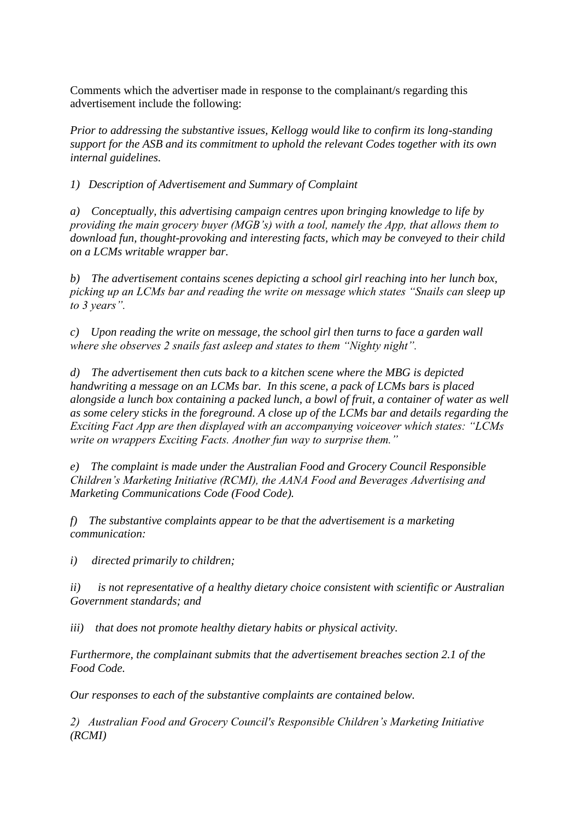Comments which the advertiser made in response to the complainant/s regarding this advertisement include the following:

*Prior to addressing the substantive issues, Kellogg would like to confirm its long-standing support for the ASB and its commitment to uphold the relevant Codes together with its own internal guidelines.*

*1) Description of Advertisement and Summary of Complaint*

*a) Conceptually, this advertising campaign centres upon bringing knowledge to life by providing the main grocery buyer (MGB"s) with a tool, namely the App, that allows them to download fun, thought-provoking and interesting facts, which may be conveyed to their child on a LCMs writable wrapper bar.* 

*b) The advertisement contains scenes depicting a school girl reaching into her lunch box, picking up an LCMs bar and reading the write on message which states "Snails can sleep up to 3 years".*

*c) Upon reading the write on message, the school girl then turns to face a garden wall where she observes 2 snails fast asleep and states to them "Nighty night".* 

*d) The advertisement then cuts back to a kitchen scene where the MBG is depicted handwriting a message on an LCMs bar. In this scene, a pack of LCMs bars is placed alongside a lunch box containing a packed lunch, a bowl of fruit, a container of water as well as some celery sticks in the foreground. A close up of the LCMs bar and details regarding the Exciting Fact App are then displayed with an accompanying voiceover which states: "LCMs write on wrappers Exciting Facts. Another fun way to surprise them."* 

*e) The complaint is made under the Australian Food and Grocery Council Responsible Children"s Marketing Initiative (RCMI), the AANA Food and Beverages Advertising and Marketing Communications Code (Food Code).* 

*f) The substantive complaints appear to be that the advertisement is a marketing communication:*

*i) directed primarily to children;*

*ii) is not representative of a healthy dietary choice consistent with scientific or Australian Government standards; and* 

*iii) that does not promote healthy dietary habits or physical activity.* 

*Furthermore, the complainant submits that the advertisement breaches section 2.1 of the Food Code.* 

*Our responses to each of the substantive complaints are contained below.* 

*2) Australian Food and Grocery Council's Responsible Children"s Marketing Initiative (RCMI)*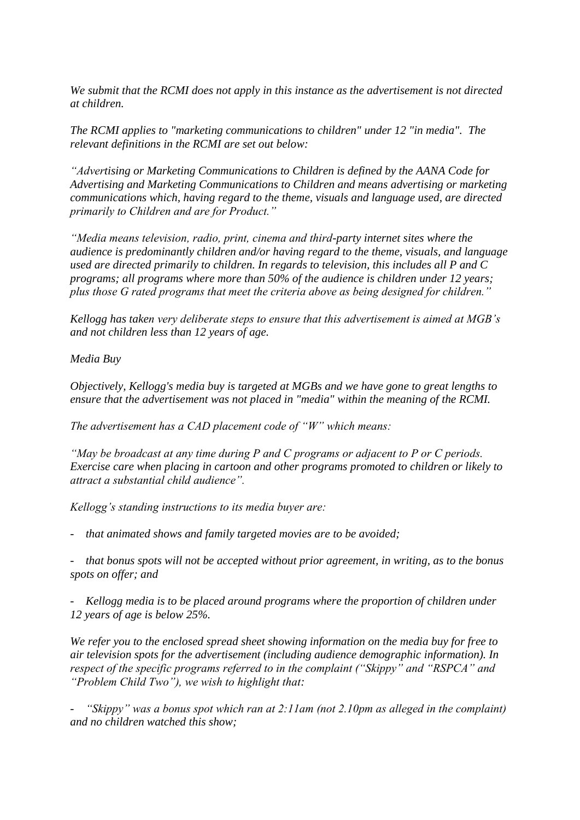*We submit that the RCMI does not apply in this instance as the advertisement is not directed at children.* 

*The RCMI applies to "marketing communications to children" under 12 "in media". The relevant definitions in the RCMI are set out below:*

*"Advertising or Marketing Communications to Children is defined by the AANA Code for Advertising and Marketing Communications to Children and means advertising or marketing communications which, having regard to the theme, visuals and language used, are directed primarily to Children and are for Product."*

*"Media means television, radio, print, cinema and third-party internet sites where the audience is predominantly children and/or having regard to the theme, visuals, and language used are directed primarily to children. In regards to television, this includes all P and C programs; all programs where more than 50% of the audience is children under 12 years; plus those G rated programs that meet the criteria above as being designed for children."*

*Kellogg has taken very deliberate steps to ensure that this advertisement is aimed at MGB"s and not children less than 12 years of age.* 

*Media Buy*

*Objectively, Kellogg's media buy is targeted at MGBs and we have gone to great lengths to ensure that the advertisement was not placed in "media" within the meaning of the RCMI.*

*The advertisement has a CAD placement code of "W" which means:*

*"May be broadcast at any time during P and C programs or adjacent to P or C periods. Exercise care when placing in cartoon and other programs promoted to children or likely to attract a substantial child audience".* 

*Kellogg"s standing instructions to its media buyer are:*

*- that animated shows and family targeted movies are to be avoided;*

*- that bonus spots will not be accepted without prior agreement, in writing, as to the bonus spots on offer; and* 

*- Kellogg media is to be placed around programs where the proportion of children under 12 years of age is below 25%.* 

*We refer you to the enclosed spread sheet showing information on the media buy for free to air television spots for the advertisement (including audience demographic information). In respect of the specific programs referred to in the complaint ("Skippy" and "RSPCA" and "Problem Child Two"), we wish to highlight that:*

"Skippy" was a bonus spot which ran at 2:11am (not 2.10pm as alleged in the complaint) *and no children watched this show;*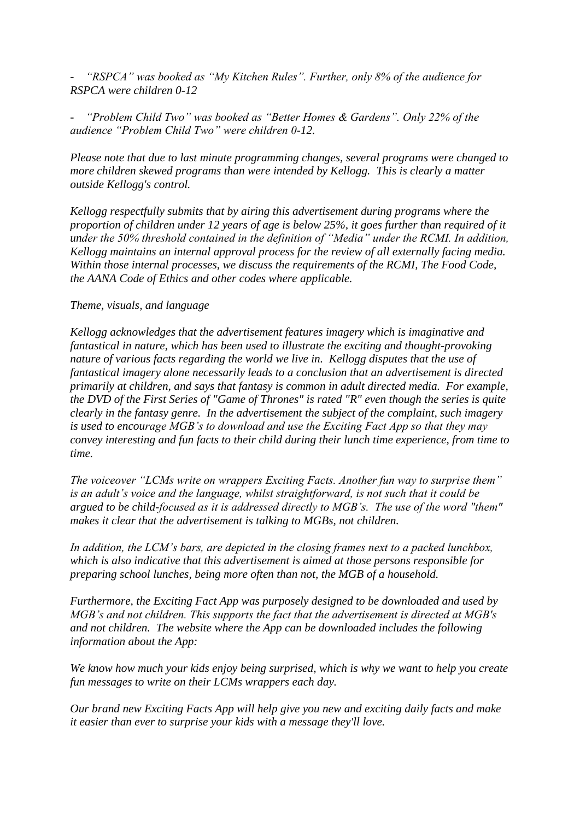*- "RSPCA" was booked as "My Kitchen Rules". Further, only 8% of the audience for RSPCA were children 0-12* 

*- "Problem Child Two" was booked as "Better Homes & Gardens". Only 22% of the audience "Problem Child Two" were children 0-12.* 

*Please note that due to last minute programming changes, several programs were changed to more children skewed programs than were intended by Kellogg. This is clearly a matter outside Kellogg's control.* 

*Kellogg respectfully submits that by airing this advertisement during programs where the proportion of children under 12 years of age is below 25%, it goes further than required of it under the 50% threshold contained in the definition of "Media" under the RCMI. In addition, Kellogg maintains an internal approval process for the review of all externally facing media. Within those internal processes, we discuss the requirements of the RCMI, The Food Code, the AANA Code of Ethics and other codes where applicable.*

#### *Theme, visuals, and language*

*Kellogg acknowledges that the advertisement features imagery which is imaginative and fantastical in nature, which has been used to illustrate the exciting and thought-provoking nature of various facts regarding the world we live in. Kellogg disputes that the use of fantastical imagery alone necessarily leads to a conclusion that an advertisement is directed primarily at children, and says that fantasy is common in adult directed media. For example, the DVD of the First Series of "Game of Thrones" is rated "R" even though the series is quite clearly in the fantasy genre. In the advertisement the subject of the complaint, such imagery is used to encourage MGB"s to download and use the Exciting Fact App so that they may convey interesting and fun facts to their child during their lunch time experience, from time to time.* 

*The voiceover "LCMs write on wrappers Exciting Facts. Another fun way to surprise them" is an adult"s voice and the language, whilst straightforward, is not such that it could be argued to be child-focused as it is addressed directly to MGB"s. The use of the word "them" makes it clear that the advertisement is talking to MGBs, not children.*

*In addition, the LCM"s bars, are depicted in the closing frames next to a packed lunchbox, which is also indicative that this advertisement is aimed at those persons responsible for preparing school lunches, being more often than not, the MGB of a household.*

*Furthermore, the Exciting Fact App was purposely designed to be downloaded and used by MGB"s and not children. This supports the fact that the advertisement is directed at MGB's and not children. The website where the App can be downloaded includes the following information about the App:*

*We know how much your kids enjoy being surprised, which is why we want to help you create fun messages to write on their LCMs wrappers each day.*

*Our brand new Exciting Facts App will help give you new and exciting daily facts and make it easier than ever to surprise your kids with a message they'll love.*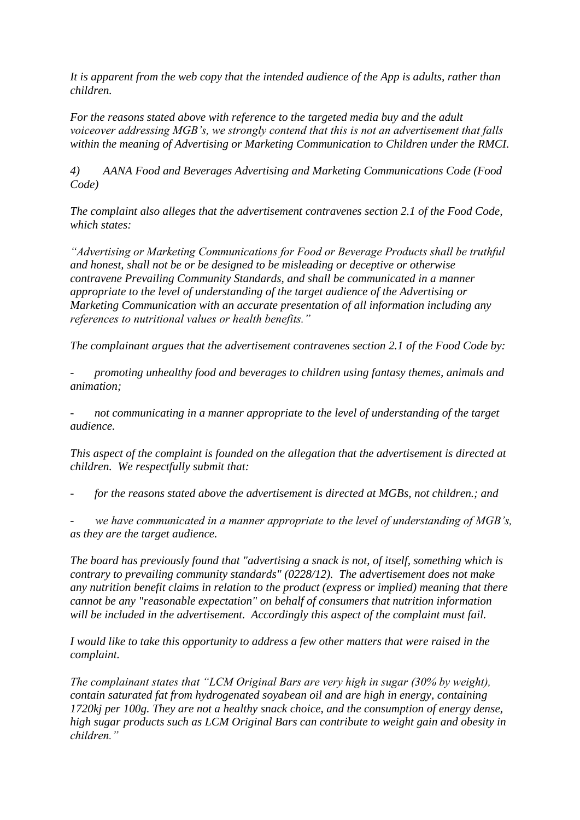*It is apparent from the web copy that the intended audience of the App is adults, rather than children.*

*For the reasons stated above with reference to the targeted media buy and the adult voiceover addressing MGB"s, we strongly contend that this is not an advertisement that falls within the meaning of Advertising or Marketing Communication to Children under the RMCI.* 

*4) AANA Food and Beverages Advertising and Marketing Communications Code (Food Code)*

*The complaint also alleges that the advertisement contravenes section 2.1 of the Food Code, which states:* 

*"Advertising or Marketing Communications for Food or Beverage Products shall be truthful and honest, shall not be or be designed to be misleading or deceptive or otherwise contravene Prevailing Community Standards, and shall be communicated in a manner appropriate to the level of understanding of the target audience of the Advertising or Marketing Communication with an accurate presentation of all information including any references to nutritional values or health benefits."*

*The complainant argues that the advertisement contravenes section 2.1 of the Food Code by:*

*- promoting unhealthy food and beverages to children using fantasy themes, animals and animation;*

*- not communicating in a manner appropriate to the level of understanding of the target audience.*

*This aspect of the complaint is founded on the allegation that the advertisement is directed at children. We respectfully submit that:*

*- for the reasons stated above the advertisement is directed at MGBs, not children.; and*

*- we have communicated in a manner appropriate to the level of understanding of MGB"s, as they are the target audience.*

*The board has previously found that "advertising a snack is not, of itself, something which is contrary to prevailing community standards" (0228/12). The advertisement does not make any nutrition benefit claims in relation to the product (express or implied) meaning that there cannot be any "reasonable expectation" on behalf of consumers that nutrition information will be included in the advertisement. Accordingly this aspect of the complaint must fail.*

*I would like to take this opportunity to address a few other matters that were raised in the complaint.* 

*The complainant states that "LCM Original Bars are very high in sugar (30% by weight), contain saturated fat from hydrogenated soyabean oil and are high in energy, containing 1720kj per 100g. They are not a healthy snack choice, and the consumption of energy dense, high sugar products such as LCM Original Bars can contribute to weight gain and obesity in children."*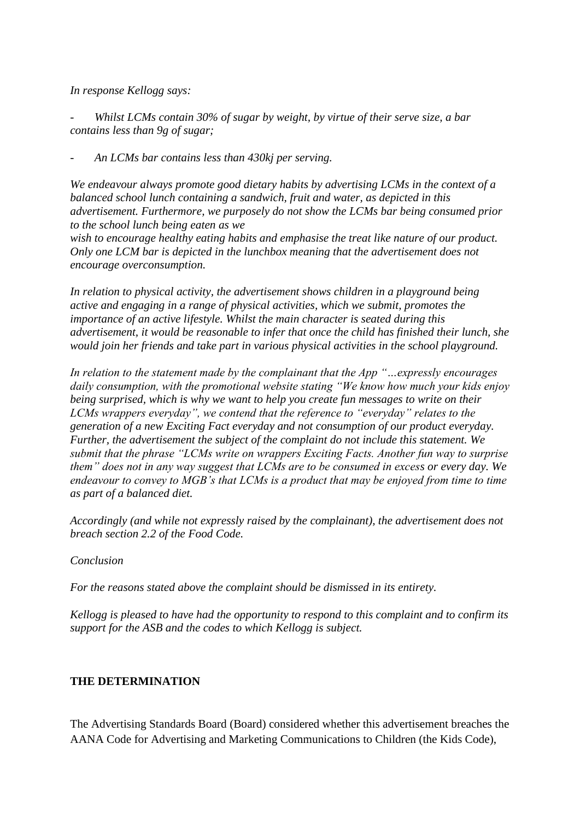*In response Kellogg says:*

*- Whilst LCMs contain 30% of sugar by weight, by virtue of their serve size, a bar contains less than 9g of sugar;*

*- An LCMs bar contains less than 430kj per serving.*

*We endeavour always promote good dietary habits by advertising LCMs in the context of a balanced school lunch containing a sandwich, fruit and water, as depicted in this advertisement. Furthermore, we purposely do not show the LCMs bar being consumed prior to the school lunch being eaten as we*

*wish to encourage healthy eating habits and emphasise the treat like nature of our product. Only one LCM bar is depicted in the lunchbox meaning that the advertisement does not encourage overconsumption.*

*In relation to physical activity, the advertisement shows children in a playground being active and engaging in a range of physical activities, which we submit, promotes the importance of an active lifestyle. Whilst the main character is seated during this advertisement, it would be reasonable to infer that once the child has finished their lunch, she would join her friends and take part in various physical activities in the school playground.* 

*In relation to the statement made by the complainant that the App "…expressly encourages daily consumption, with the promotional website stating "We know how much your kids enjoy being surprised, which is why we want to help you create fun messages to write on their LCMs wrappers everyday", we contend that the reference to "everyday" relates to the generation of a new Exciting Fact everyday and not consumption of our product everyday. Further, the advertisement the subject of the complaint do not include this statement. We submit that the phrase "LCMs write on wrappers Exciting Facts. Another fun way to surprise them" does not in any way suggest that LCMs are to be consumed in excess or every day. We endeavour to convey to MGB"s that LCMs is a product that may be enjoyed from time to time as part of a balanced diet.* 

*Accordingly (and while not expressly raised by the complainant), the advertisement does not breach section 2.2 of the Food Code.*

*Conclusion* 

*For the reasons stated above the complaint should be dismissed in its entirety.* 

*Kellogg is pleased to have had the opportunity to respond to this complaint and to confirm its support for the ASB and the codes to which Kellogg is subject.*

## **THE DETERMINATION**

The Advertising Standards Board (Board) considered whether this advertisement breaches the AANA Code for Advertising and Marketing Communications to Children (the Kids Code),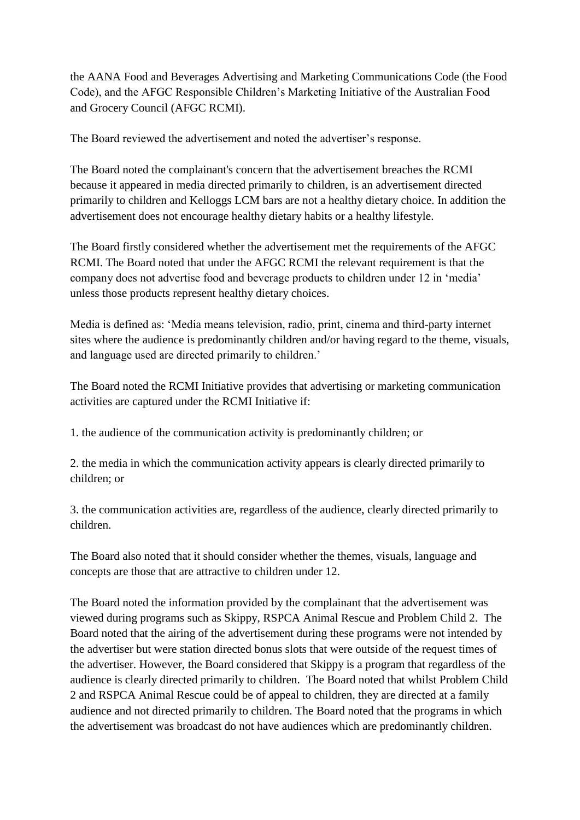the AANA Food and Beverages Advertising and Marketing Communications Code (the Food Code), and the AFGC Responsible Children"s Marketing Initiative of the Australian Food and Grocery Council (AFGC RCMI).

The Board reviewed the advertisement and noted the advertiser"s response.

The Board noted the complainant's concern that the advertisement breaches the RCMI because it appeared in media directed primarily to children, is an advertisement directed primarily to children and Kelloggs LCM bars are not a healthy dietary choice. In addition the advertisement does not encourage healthy dietary habits or a healthy lifestyle.

The Board firstly considered whether the advertisement met the requirements of the AFGC RCMI. The Board noted that under the AFGC RCMI the relevant requirement is that the company does not advertise food and beverage products to children under 12 in "media" unless those products represent healthy dietary choices.

Media is defined as: "Media means television, radio, print, cinema and third-party internet sites where the audience is predominantly children and/or having regard to the theme, visuals, and language used are directed primarily to children.'

The Board noted the RCMI Initiative provides that advertising or marketing communication activities are captured under the RCMI Initiative if:

1. the audience of the communication activity is predominantly children; or

2. the media in which the communication activity appears is clearly directed primarily to children; or

3. the communication activities are, regardless of the audience, clearly directed primarily to children.

The Board also noted that it should consider whether the themes, visuals, language and concepts are those that are attractive to children under 12.

The Board noted the information provided by the complainant that the advertisement was viewed during programs such as Skippy, RSPCA Animal Rescue and Problem Child 2. The Board noted that the airing of the advertisement during these programs were not intended by the advertiser but were station directed bonus slots that were outside of the request times of the advertiser. However, the Board considered that Skippy is a program that regardless of the audience is clearly directed primarily to children. The Board noted that whilst Problem Child 2 and RSPCA Animal Rescue could be of appeal to children, they are directed at a family audience and not directed primarily to children. The Board noted that the programs in which the advertisement was broadcast do not have audiences which are predominantly children.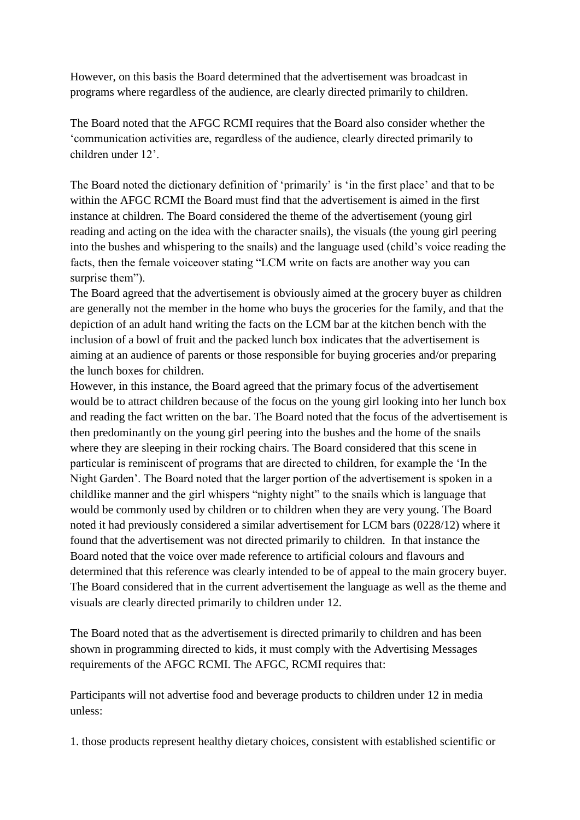However, on this basis the Board determined that the advertisement was broadcast in programs where regardless of the audience, are clearly directed primarily to children.

The Board noted that the AFGC RCMI requires that the Board also consider whether the "communication activities are, regardless of the audience, clearly directed primarily to children under 12".

The Board noted the dictionary definition of 'primarily' is 'in the first place' and that to be within the AFGC RCMI the Board must find that the advertisement is aimed in the first instance at children. The Board considered the theme of the advertisement (young girl reading and acting on the idea with the character snails), the visuals (the young girl peering into the bushes and whispering to the snails) and the language used (child"s voice reading the facts, then the female voiceover stating "LCM write on facts are another way you can surprise them").

The Board agreed that the advertisement is obviously aimed at the grocery buyer as children are generally not the member in the home who buys the groceries for the family, and that the depiction of an adult hand writing the facts on the LCM bar at the kitchen bench with the inclusion of a bowl of fruit and the packed lunch box indicates that the advertisement is aiming at an audience of parents or those responsible for buying groceries and/or preparing the lunch boxes for children.

However, in this instance, the Board agreed that the primary focus of the advertisement would be to attract children because of the focus on the young girl looking into her lunch box and reading the fact written on the bar. The Board noted that the focus of the advertisement is then predominantly on the young girl peering into the bushes and the home of the snails where they are sleeping in their rocking chairs. The Board considered that this scene in particular is reminiscent of programs that are directed to children, for example the "In the Night Garden". The Board noted that the larger portion of the advertisement is spoken in a childlike manner and the girl whispers "nighty night" to the snails which is language that would be commonly used by children or to children when they are very young. The Board noted it had previously considered a similar advertisement for LCM bars (0228/12) where it found that the advertisement was not directed primarily to children. In that instance the Board noted that the voice over made reference to artificial colours and flavours and determined that this reference was clearly intended to be of appeal to the main grocery buyer. The Board considered that in the current advertisement the language as well as the theme and visuals are clearly directed primarily to children under 12.

The Board noted that as the advertisement is directed primarily to children and has been shown in programming directed to kids, it must comply with the Advertising Messages requirements of the AFGC RCMI. The AFGC, RCMI requires that:

Participants will not advertise food and beverage products to children under 12 in media unless:

1. those products represent healthy dietary choices, consistent with established scientific or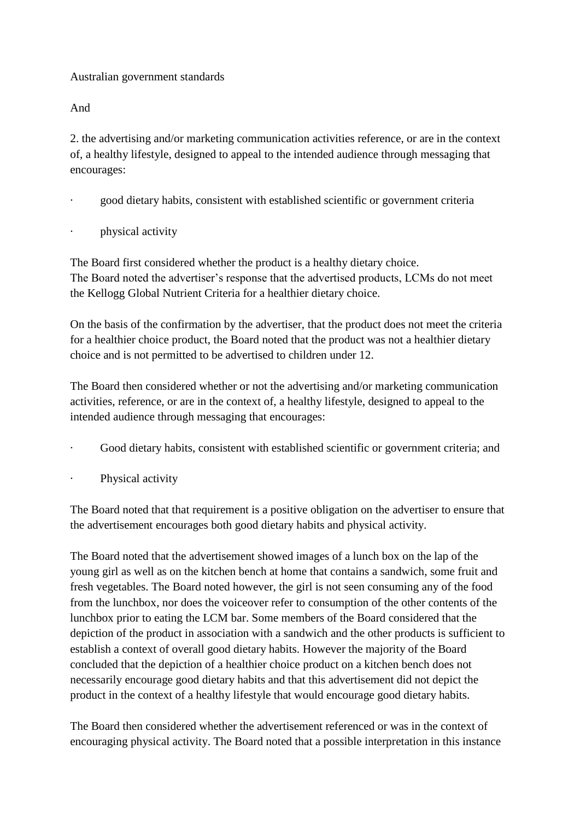# Australian government standards

And

2. the advertising and/or marketing communication activities reference, or are in the context of, a healthy lifestyle, designed to appeal to the intended audience through messaging that encourages:

- · good dietary habits, consistent with established scientific or government criteria
- physical activity

The Board first considered whether the product is a healthy dietary choice. The Board noted the advertiser's response that the advertised products, LCMs do not meet the Kellogg Global Nutrient Criteria for a healthier dietary choice.

On the basis of the confirmation by the advertiser, that the product does not meet the criteria for a healthier choice product, the Board noted that the product was not a healthier dietary choice and is not permitted to be advertised to children under 12.

The Board then considered whether or not the advertising and/or marketing communication activities, reference, or are in the context of, a healthy lifestyle, designed to appeal to the intended audience through messaging that encourages:

- Good dietary habits, consistent with established scientific or government criteria; and
- Physical activity

The Board noted that that requirement is a positive obligation on the advertiser to ensure that the advertisement encourages both good dietary habits and physical activity.

The Board noted that the advertisement showed images of a lunch box on the lap of the young girl as well as on the kitchen bench at home that contains a sandwich, some fruit and fresh vegetables. The Board noted however, the girl is not seen consuming any of the food from the lunchbox, nor does the voiceover refer to consumption of the other contents of the lunchbox prior to eating the LCM bar. Some members of the Board considered that the depiction of the product in association with a sandwich and the other products is sufficient to establish a context of overall good dietary habits. However the majority of the Board concluded that the depiction of a healthier choice product on a kitchen bench does not necessarily encourage good dietary habits and that this advertisement did not depict the product in the context of a healthy lifestyle that would encourage good dietary habits.

The Board then considered whether the advertisement referenced or was in the context of encouraging physical activity. The Board noted that a possible interpretation in this instance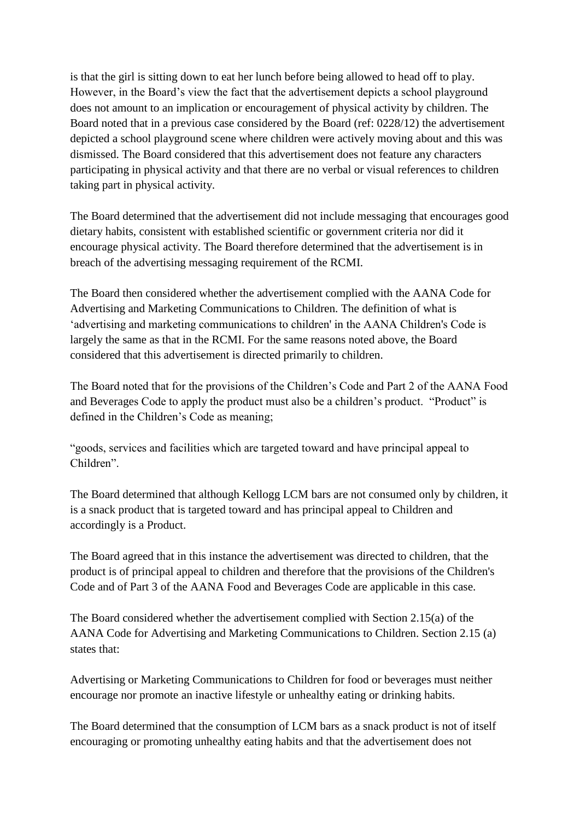is that the girl is sitting down to eat her lunch before being allowed to head off to play. However, in the Board"s view the fact that the advertisement depicts a school playground does not amount to an implication or encouragement of physical activity by children. The Board noted that in a previous case considered by the Board (ref: 0228/12) the advertisement depicted a school playground scene where children were actively moving about and this was dismissed. The Board considered that this advertisement does not feature any characters participating in physical activity and that there are no verbal or visual references to children taking part in physical activity.

The Board determined that the advertisement did not include messaging that encourages good dietary habits, consistent with established scientific or government criteria nor did it encourage physical activity. The Board therefore determined that the advertisement is in breach of the advertising messaging requirement of the RCMI.

The Board then considered whether the advertisement complied with the AANA Code for Advertising and Marketing Communications to Children. The definition of what is "advertising and marketing communications to children' in the AANA Children's Code is largely the same as that in the RCMI. For the same reasons noted above, the Board considered that this advertisement is directed primarily to children.

The Board noted that for the provisions of the Children"s Code and Part 2 of the AANA Food and Beverages Code to apply the product must also be a children"s product. "Product" is defined in the Children"s Code as meaning;

"goods, services and facilities which are targeted toward and have principal appeal to Children".

The Board determined that although Kellogg LCM bars are not consumed only by children, it is a snack product that is targeted toward and has principal appeal to Children and accordingly is a Product.

The Board agreed that in this instance the advertisement was directed to children, that the product is of principal appeal to children and therefore that the provisions of the Children's Code and of Part 3 of the AANA Food and Beverages Code are applicable in this case.

The Board considered whether the advertisement complied with Section 2.15(a) of the AANA Code for Advertising and Marketing Communications to Children. Section 2.15 (a) states that:

Advertising or Marketing Communications to Children for food or beverages must neither encourage nor promote an inactive lifestyle or unhealthy eating or drinking habits.

The Board determined that the consumption of LCM bars as a snack product is not of itself encouraging or promoting unhealthy eating habits and that the advertisement does not